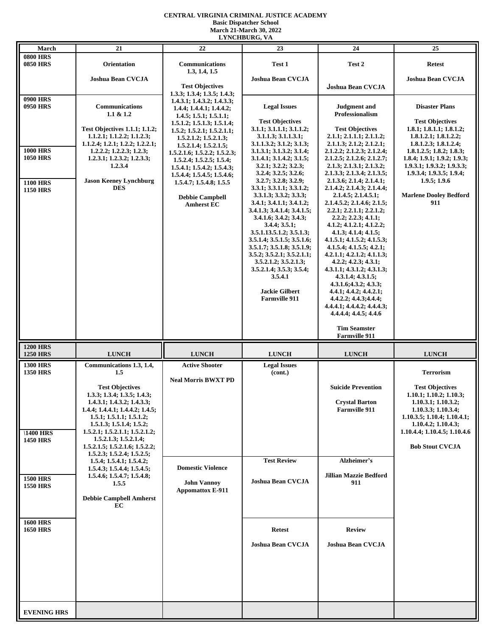## **CENTRAL VIRGINIA CRIMINAL JUSTICE ACADEMY Basic Dispatcher School March 21-March 30, 2022 LYNCHBURG, VA**

| March                              | 21                                                                   | 22                                                              | епленрово, ул<br>23                                               | 24                                                     | 25                                                 |
|------------------------------------|----------------------------------------------------------------------|-----------------------------------------------------------------|-------------------------------------------------------------------|--------------------------------------------------------|----------------------------------------------------|
| <b>0800 HRS</b>                    |                                                                      |                                                                 |                                                                   |                                                        |                                                    |
| <b>0850 HRS</b>                    | <b>Orientation</b>                                                   | Communications                                                  | Test 1                                                            | Test 2                                                 | <b>Retest</b>                                      |
|                                    | <b>Joshua Bean CVCJA</b>                                             | 1.3, 1.4, 1.5                                                   | <b>Joshua Bean CVCJA</b>                                          |                                                        | <b>Joshua Bean CVCJA</b>                           |
|                                    |                                                                      | <b>Test Objectives</b>                                          |                                                                   | Joshua Bean CVCJA                                      |                                                    |
| <b>0900 HRS</b>                    |                                                                      | 1.3.3; 1.3.4; 1.3.5; 1.4.3;                                     |                                                                   |                                                        |                                                    |
| 0950 HRS                           | Communications                                                       | 1.4.3.1; 1.4.3.2; 1.4.3.3;<br>$1.4.4$ ; $1.4.4.1$ ; $1.4.4.2$ ; | <b>Legal Issues</b>                                               | <b>Judgment</b> and                                    | <b>Disaster Plans</b>                              |
|                                    | $1.1 \& 1.2$                                                         | 1.4.5; 1.5.1; 1.5.1.1;                                          |                                                                   | <b>Professionalism</b>                                 |                                                    |
|                                    | <b>Test Objectives 1.1.1; 1.1.2;</b>                                 | 1.5.1.2; 1.5.1.3; 1.5.1.4;<br>1.5.2; 1.5.2.1; 1.5.2.1.1;        | <b>Test Objectives</b><br>3.1.1; 3.1.1.1; 3.1.1.2;                | <b>Test Objectives</b>                                 | <b>Test Objectives</b><br>1.8.1; 1.8.1.1; 1.8.1.2; |
|                                    | 1.1.2.1; 1.1.2.2; 1.1.2.3;                                           | 1.5.2.1.2; 1.5.2.1.3;                                           | 3.1.1.3; 3.1.1.3.1;                                               | 2.1.1; 2.1.1.1; 2.1.1.2;                               | 1.8.1.2.1; 1.8.1.2.2;                              |
| <b>1000 HRS</b>                    | 1.1.2.4; 1.2.1; 1.2.2; 1.2.2.1;<br>$1.2.2.2$ ; $1.2.2.3$ ; $1.2.3$ ; | 1.5.2.1.4; 1.5.2.1.5;                                           | 3.1.1.3.2; 3.1.2; 3.1.3;<br>3.1.3.1; 3.1.3.2; 3.1.4;              | 2.1.1.3; 2.1.2; 2.1.2.1;<br>2.1.2.2; 2.1.2.3; 2.1.2.4; | 1.8.1.2.3; 1.8.1.2.4;<br>1.8.1.2.5; 1.8.2; 1.8.3;  |
| <b>1050 HRS</b>                    | 1.2.3.1; 1.2.3.2; 1.2.3.3;                                           | 1.5.2.1.6; 1.5.2.2; 1.5.2.3;<br>1.5.2.4; 1.5.2.5; 1.5.4;        | 3.1.4.1; 3.1.4.2; 3.1.5;                                          | 2.1.2.5; 2.1.2.6; 2.1.2.7;                             | 1.8.4; 1.9.1; 1.9.2; 1.9.3;                        |
|                                    | 1.2.3.4                                                              | 1.5.4.1; 1.5.4.2; 1.5.4.3;                                      | 3.2.1; 3.2.2; 3.2.3;                                              | 2.1.3; 2.1.3.1; 2.1.3.2;                               | 1.9.3.1; 1.9.3.2; 1.9.3.3;                         |
| <b>1100 HRS</b>                    | <b>Jason Keeney Lynchburg</b>                                        | 1.5.4.4; 1.5.4.5; 1.5.4.6;<br>1.5.4.7; 1.5.4.8; 1.5.5           | $3.2.4$ ; $3.2.5$ ; $3.2.6$ ;<br>3.2.7; 3.2.8; 3.2.9;             | 2.1.3.3; 2.1.3.4; 2.1.3.5;<br>2.1.3.6; 2.1.4; 2.1.4.1; | 1.9.3.4; 1.9.3.5; 1.9.4;<br>1.9.5; 1.9.6           |
| <b>1150 HRS</b>                    | <b>DES</b>                                                           |                                                                 | 3.3.1; 3.3.1.1; 3.3.1.2;                                          | 2.1.4.2; 2.1.4.3; 2.1.4.4;                             |                                                    |
|                                    |                                                                      | <b>Debbie Campbell</b>                                          | 3.3.1.3; 3.3.2; 3.3.3;<br>3.4.1; 3.4.1.1; 3.4.1.2;                | 2.1.4.5; 2.1.4.5.1;<br>2.1.4.5.2; 2.1.4.6; 2.1.5;      | <b>Marlene Dooley Bedford</b><br>911               |
|                                    |                                                                      | <b>Amherst EC</b>                                               | 3.4.1.3; 3.4.1.4; 3.4.1.5;                                        | 2.2.1; 2.2.1.1; 2.2.1.2;                               |                                                    |
|                                    |                                                                      |                                                                 | $3.4.1.6$ ; $3.4.2$ ; $3.4.3$ ;                                   | 2.2.2; 2.2.3; 4.1.1;                                   |                                                    |
|                                    |                                                                      |                                                                 | $3.4.4$ ; $3.5.1$ ;<br>3.5.1.13.5.1.2; 3.5.1.3;                   | 4.1.2; 4.1.2.1; 4.1.2.2;<br>4.1.3; 4.1.4; 4.1.5;       |                                                    |
|                                    |                                                                      |                                                                 | 3.5.1.4; 3.5.1.5; 3.5.1.6;                                        | 4.1.5.1; 4.1.5.2; 4.1.5.3;                             |                                                    |
|                                    |                                                                      |                                                                 | 3.5.1.7; 3.5.1.8; 3.5.1.9;<br>$3.5.2$ ; $3.5.2.1$ ; $3.5.2.1.1$ ; | 4.1.5.4; 4.1.5.5; 4.2.1;<br>4.2.1.1; 4.2.1.2; 4.1.1.3; |                                                    |
|                                    |                                                                      |                                                                 | 3.5.2.1.2; 3.5.2.1.3;                                             | $4.2.2$ ; $4.2.3$ ; $4.3.1$ ;                          |                                                    |
|                                    |                                                                      |                                                                 | 3.5.2.1.4; 3.5.3; 3.5.4;                                          | 4.3.1.1; 4.3.1.2; 4.3.1.3;                             |                                                    |
|                                    |                                                                      |                                                                 | 3.5.4.1                                                           | 4.3.1.4; 4.3.1.5;<br>4.3.1.6; 4.3.2; 4.3.3;            |                                                    |
|                                    |                                                                      |                                                                 | <b>Jackie Gilbert</b>                                             | 4.4.1; 4.4.2; 4.4.2.1;                                 |                                                    |
|                                    |                                                                      |                                                                 | <b>Farmville 911</b>                                              | 4.4.2.2; 4.4.3; 4.4.4;<br>4.4.4.1; 4.4.4.2; 4.4.4.3;   |                                                    |
|                                    |                                                                      |                                                                 |                                                                   | 4.4.4.4; 4.4.5; 4.4.6                                  |                                                    |
|                                    |                                                                      |                                                                 |                                                                   |                                                        |                                                    |
|                                    |                                                                      |                                                                 |                                                                   | <b>Tim Seamster</b><br><b>Farmville 911</b>            |                                                    |
| <b>1200 HRS</b>                    |                                                                      |                                                                 |                                                                   |                                                        |                                                    |
| <b>1250 HRS</b>                    | <b>LUNCH</b>                                                         | <b>LUNCH</b>                                                    | <b>LUNCH</b>                                                      | <b>LUNCH</b>                                           | <b>LUNCH</b>                                       |
| <b>1300 HRS</b><br><b>1350 HRS</b> | Communications 1.3, 1.4,<br>1.5                                      | <b>Active Shooter</b>                                           | <b>Legal Issues</b><br>(cont.)                                    |                                                        | <b>Terrorism</b>                                   |
|                                    |                                                                      | <b>Neal Morris BWXT PD</b>                                      |                                                                   |                                                        |                                                    |
|                                    | <b>Test Objectives</b>                                               |                                                                 |                                                                   | <b>Suicide Prevention</b>                              | <b>Test Objectives</b>                             |
|                                    | 1.3.3; 1.3.4; 1.3.5; 1.4.3;<br>1.4.3.1; 1.4.3.2; 1.4.3.3;            |                                                                 |                                                                   | <b>Crystal Barton</b>                                  | 1.10.1; 1.10.2; 1.10.3;<br>1.10.3.1; 1.10.3.2;     |
|                                    | 1.4.4; 1.4.4.1; 1.4.4.2; 1.4.5;                                      |                                                                 |                                                                   | <b>Farmville 911</b>                                   | 1.10.3.3; 1.10.3.4;                                |
|                                    | 1.5.1; 1.5.1.1; 1.5.1.2;<br>1.5.1.3; 1.5.1.4; 1.5.2;                 |                                                                 |                                                                   |                                                        | 1.10.3.5; 1.10.4; 1.10.4.1;<br>1.10.4.2; 1.10.4.3; |
| <b>1400 HRS</b>                    | 1.5.2.1; 1.5.2.1.1; 1.5.2.1.2;                                       |                                                                 |                                                                   |                                                        | 1.10.4.4; 1.10.4.5; 1.10.4.6                       |
| <b>1450 HRS</b>                    | 1.5.2.1.3; 1.5.2.1.4;                                                |                                                                 |                                                                   |                                                        | <b>Bob Stout CVCJA</b>                             |
|                                    | 1.5.2.1.5; 1.5.2.1.6; 1.5.2.2;<br>1.5.2.3; 1.5.2.4; 1.5.2.5;         |                                                                 |                                                                   |                                                        |                                                    |
|                                    | 1.5.4; 1.5.4.1; 1.5.4.2;                                             |                                                                 | <b>Test Review</b>                                                | Alzheimer's                                            |                                                    |
|                                    | 1.5.4.3; 1.5.4.4; 1.5.4.5;<br>1.5.4.6; 1.5.4.7; 1.5.4.8;             | <b>Domestic Violence</b>                                        |                                                                   | <b>Jillian Mazzie Bedford</b>                          |                                                    |
| <b>1500 HRS</b><br><b>1550 HRS</b> | 1.5.5                                                                | <b>John Vannoy</b>                                              | <b>Joshua Bean CVCJA</b>                                          | 911                                                    |                                                    |
|                                    | <b>Debbie Campbell Amherst</b>                                       | <b>Appomattox E-911</b>                                         |                                                                   |                                                        |                                                    |
|                                    | EC                                                                   |                                                                 |                                                                   |                                                        |                                                    |
|                                    |                                                                      |                                                                 |                                                                   |                                                        |                                                    |
| <b>1600 HRS</b>                    |                                                                      |                                                                 |                                                                   |                                                        |                                                    |
| <b>1650 HRS</b>                    |                                                                      |                                                                 | <b>Retest</b>                                                     | <b>Review</b>                                          |                                                    |
|                                    |                                                                      |                                                                 | <b>Joshua Bean CVCJA</b>                                          | <b>Joshua Bean CVCJA</b>                               |                                                    |
|                                    |                                                                      |                                                                 |                                                                   |                                                        |                                                    |
|                                    |                                                                      |                                                                 |                                                                   |                                                        |                                                    |
|                                    |                                                                      |                                                                 |                                                                   |                                                        |                                                    |
|                                    |                                                                      |                                                                 |                                                                   |                                                        |                                                    |
|                                    |                                                                      |                                                                 |                                                                   |                                                        |                                                    |
|                                    |                                                                      |                                                                 |                                                                   |                                                        |                                                    |
| <b>EVENING HRS</b>                 |                                                                      |                                                                 |                                                                   |                                                        |                                                    |